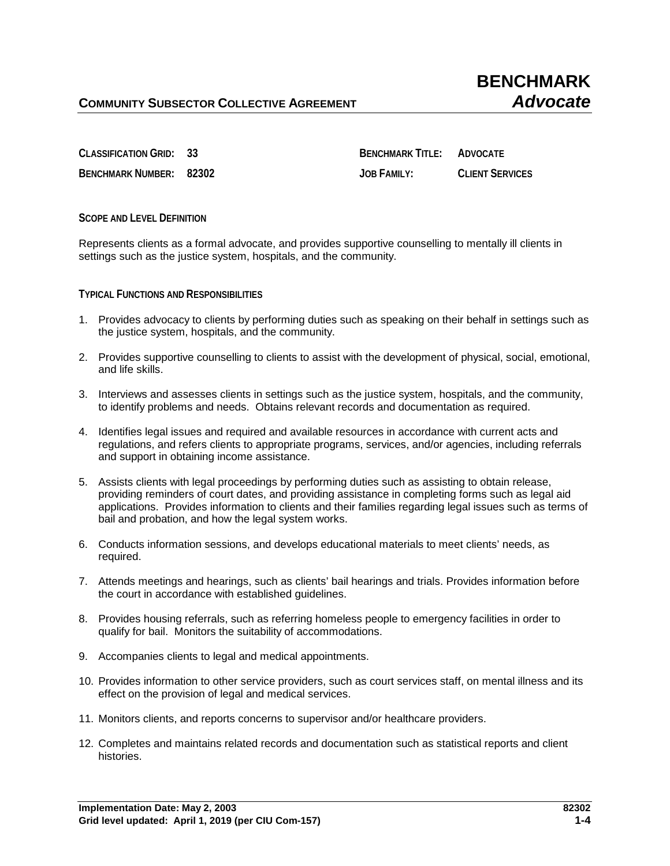**BENCHMARK NUMBER: 82302 JOB FAMILY: CLIENT SERVICES**

**CLASSIFICATION GRID: 33 BENCHMARK TITLE: ADVOCATE**

**SCOPE AND LEVEL DEFINITION**

Represents clients as a formal advocate, and provides supportive counselling to mentally ill clients in settings such as the justice system, hospitals, and the community.

**TYPICAL FUNCTIONS AND RESPONSIBILITIES**

- 1. Provides advocacy to clients by performing duties such as speaking on their behalf in settings such as the justice system, hospitals, and the community.
- 2. Provides supportive counselling to clients to assist with the development of physical, social, emotional, and life skills.
- 3. Interviews and assesses clients in settings such as the justice system, hospitals, and the community, to identify problems and needs. Obtains relevant records and documentation as required.
- 4. Identifies legal issues and required and available resources in accordance with current acts and regulations, and refers clients to appropriate programs, services, and/or agencies, including referrals and support in obtaining income assistance.
- 5. Assists clients with legal proceedings by performing duties such as assisting to obtain release, providing reminders of court dates, and providing assistance in completing forms such as legal aid applications. Provides information to clients and their families regarding legal issues such as terms of bail and probation, and how the legal system works.
- 6. Conducts information sessions, and develops educational materials to meet clients' needs, as required.
- 7. Attends meetings and hearings, such as clients' bail hearings and trials. Provides information before the court in accordance with established guidelines.
- 8. Provides housing referrals, such as referring homeless people to emergency facilities in order to qualify for bail. Monitors the suitability of accommodations.
- 9. Accompanies clients to legal and medical appointments.
- 10. Provides information to other service providers, such as court services staff, on mental illness and its effect on the provision of legal and medical services.
- 11. Monitors clients, and reports concerns to supervisor and/or healthcare providers.
- 12. Completes and maintains related records and documentation such as statistical reports and client histories.